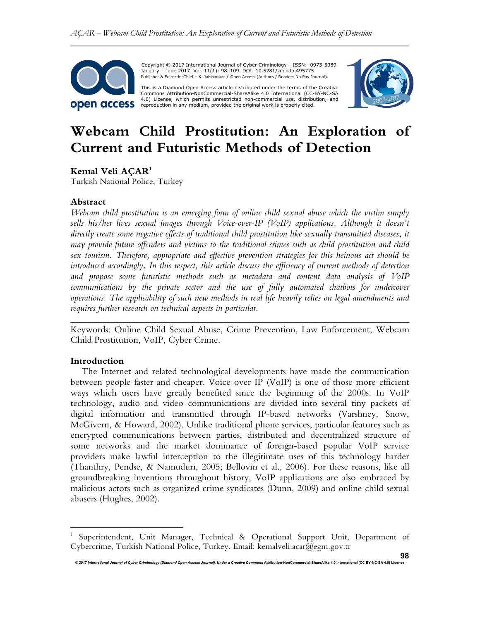

 Copyright © 2017 International Journal of Cyber Criminology – ISSN: 0973-5089 January – June 2017. Vol. 11(1): 98–109. DOI: 10.5281/zenodo.495775 Publisher & Editor-in-Chief – K. Jaishankar / Open Access (Authors / Readers No Pay Journal).

This is a Diamond Open Access article distributed under the terms of the Creative<br>Commons Attribution-NonCommercial-ShareAlike 4.0 International (CC-BY-NC-SA 4.0) License, which permits unrestricted non-commercial use, distribution, and reproduction in any medium, provided the original work is properly cited.



# **Webcam Child Prostitution: An Exploration of Current and Futuristic Methods of Detection**

**Kemal Veli AÇAR<sup>1</sup>**

Turkish National Police, Turkey

# **Abstract**

*Webcam child prostitution is an emerging form of online child sexual abuse which the victim simply sells his/her lives sexual images through Voice-over-IP (VoIP) applications. Although it doesn't directly create some negative effects of traditional child prostitution like sexually transmitted diseases, it may provide future offenders and victims to the traditional crimes such as child prostitution and child sex tourism. Therefore, appropriate and effective prevention strategies for this heinous act should be introduced accordingly. In this respect, this article discuss the efficiency of current methods of detection and propose some futuristic methods such as metadata and content data analysis of VoIP communications by the private sector and the use of fully automated chatbots for undercover operations. The applicability of such new methods in real life heavily relies on legal amendments and requires further research on technical aspects in particular.*

*\_\_\_\_\_\_\_\_\_\_\_\_\_\_\_\_\_\_\_\_\_\_\_\_\_\_\_\_\_\_\_\_\_\_\_\_\_\_\_\_\_\_\_\_\_\_\_\_\_\_\_\_\_\_\_\_\_\_\_\_\_\_\_\_\_\_\_\_\_\_\_\_* Keywords: Online Child Sexual Abuse, Crime Prevention, Law Enforcement, Webcam Child Prostitution, VoIP, Cyber Crime.

#### **Introduction**

 $\overline{a}$ 

The Internet and related technological developments have made the communication between people faster and cheaper. Voice-over-IP (VoIP) is one of those more efficient ways which users have greatly benefited since the beginning of the 2000s. In VoIP technology, audio and video communications are divided into several tiny packets of digital information and transmitted through IP-based networks (Varshney, Snow, McGivern, & Howard, 2002). Unlike traditional phone services, particular features such as encrypted communications between parties, distributed and decentralized structure of some networks and the market dominance of foreign-based popular VoIP service providers make lawful interception to the illegitimate uses of this technology harder (Thanthry, Pendse, & Namuduri, 2005; Bellovin et al., 2006). For these reasons, like all groundbreaking inventions throughout history, VoIP applications are also embraced by malicious actors such as organized crime syndicates (Dunn, 2009) and online child sexual abusers (Hughes, 2002).

<sup>1</sup> Superintendent, Unit Manager, Technical & Operational Support Unit, Department of Cybercrime, Turkish National Police, Turkey. Email: kemalveli.acar@egm.gov.tr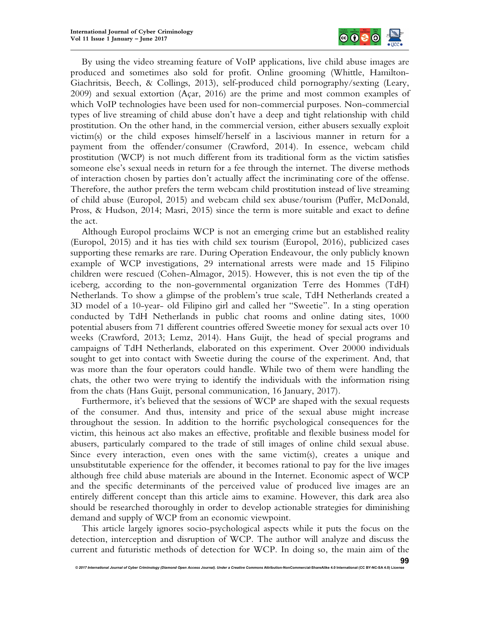

By using the video streaming feature of VoIP applications, live child abuse images are produced and sometimes also sold for profit. Online grooming (Whittle, Hamilton-Giachritsis, Beech, & Collings, 2013), self-produced child pornography/sexting (Leary, 2009) and sexual extortion (Açar, 2016) are the prime and most common examples of which VoIP technologies have been used for non-commercial purposes. Non-commercial types of live streaming of child abuse don't have a deep and tight relationship with child prostitution. On the other hand, in the commercial version, either abusers sexually exploit victim(s) or the child exposes himself/herself in a lascivious manner in return for a payment from the offender/consumer (Crawford, 2014). In essence, webcam child prostitution (WCP) is not much different from its traditional form as the victim satisfies someone else's sexual needs in return for a fee through the internet. The diverse methods of interaction chosen by parties don't actually affect the incriminating core of the offense. Therefore, the author prefers the term webcam child prostitution instead of live streaming of child abuse (Europol, 2015) and webcam child sex abuse/tourism (Puffer, McDonald, Pross, & Hudson, 2014; Masri, 2015) since the term is more suitable and exact to define the act.

Although Europol proclaims WCP is not an emerging crime but an established reality (Europol, 2015) and it has ties with child sex tourism (Europol, 2016), publicized cases supporting these remarks are rare. During Operation Endeavour, the only publicly known example of WCP investigations, 29 international arrests were made and 15 Filipino children were rescued (Cohen-Almagor, 2015). However, this is not even the tip of the iceberg, according to the non-governmental organization Terre des Hommes (TdH) Netherlands. To show a glimpse of the problem's true scale, TdH Netherlands created a 3D model of a 10-year- old Filipino girl and called her "Sweetie". In a sting operation conducted by TdH Netherlands in public chat rooms and online dating sites, 1000 potential abusers from 71 different countries offered Sweetie money for sexual acts over 10 weeks (Crawford, 2013; Lemz, 2014). Hans Guijt, the head of special programs and campaigns of TdH Netherlands, elaborated on this experiment. Over 20000 individuals sought to get into contact with Sweetie during the course of the experiment. And, that was more than the four operators could handle. While two of them were handling the chats, the other two were trying to identify the individuals with the information rising from the chats (Hans Guijt, personal communication, 16 January, 2017).

Furthermore, it's believed that the sessions of WCP are shaped with the sexual requests of the consumer. And thus, intensity and price of the sexual abuse might increase throughout the session. In addition to the horrific psychological consequences for the victim, this heinous act also makes an effective, profitable and flexible business model for abusers, particularly compared to the trade of still images of online child sexual abuse. Since every interaction, even ones with the same victim(s), creates a unique and unsubstitutable experience for the offender, it becomes rational to pay for the live images although free child abuse materials are abound in the Internet. Economic aspect of WCP and the specific determinants of the perceived value of produced live images are an entirely different concept than this article aims to examine. However, this dark area also should be researched thoroughly in order to develop actionable strategies for diminishing demand and supply of WCP from an economic viewpoint.

This article largely ignores socio-psychological aspects while it puts the focus on the detection, interception and disruption of WCP. The author will analyze and discuss the current and futuristic methods of detection for WCP. In doing so, the main aim of the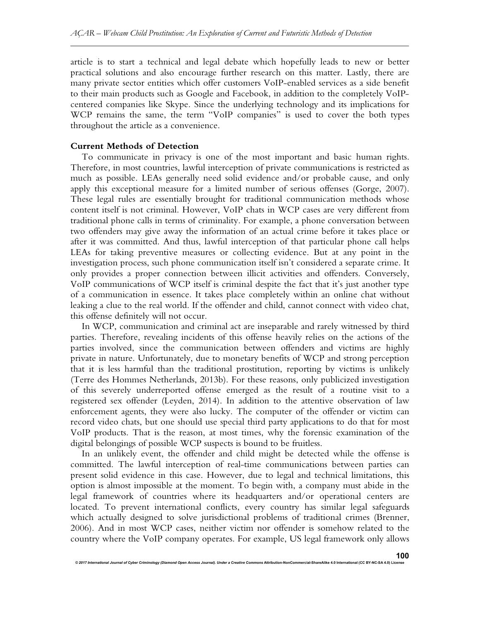article is to start a technical and legal debate which hopefully leads to new or better practical solutions and also encourage further research on this matter. Lastly, there are many private sector entities which offer customers VoIP-enabled services as a side benefit to their main products such as Google and Facebook, in addition to the completely VoIPcentered companies like Skype. Since the underlying technology and its implications for WCP remains the same, the term "VoIP companies" is used to cover the both types throughout the article as a convenience.

# **Current Methods of Detection**

To communicate in privacy is one of the most important and basic human rights. Therefore, in most countries, lawful interception of private communications is restricted as much as possible. LEAs generally need solid evidence and/or probable cause, and only apply this exceptional measure for a limited number of serious offenses (Gorge, 2007). These legal rules are essentially brought for traditional communication methods whose content itself is not criminal. However, VoIP chats in WCP cases are very different from traditional phone calls in terms of criminality. For example, a phone conversation between two offenders may give away the information of an actual crime before it takes place or after it was committed. And thus, lawful interception of that particular phone call helps LEAs for taking preventive measures or collecting evidence. But at any point in the investigation process, such phone communication itself isn't considered a separate crime. It only provides a proper connection between illicit activities and offenders. Conversely, VoIP communications of WCP itself is criminal despite the fact that it's just another type of a communication in essence. It takes place completely within an online chat without leaking a clue to the real world. If the offender and child, cannot connect with video chat, this offense definitely will not occur.

In WCP, communication and criminal act are inseparable and rarely witnessed by third parties. Therefore, revealing incidents of this offense heavily relies on the actions of the parties involved, since the communication between offenders and victims are highly private in nature. Unfortunately, due to monetary benefits of WCP and strong perception that it is less harmful than the traditional prostitution, reporting by victims is unlikely (Terre des Hommes Netherlands, 2013b). For these reasons, only publicized investigation of this severely underreported offense emerged as the result of a routine visit to a registered sex offender (Leyden, 2014). In addition to the attentive observation of law enforcement agents, they were also lucky. The computer of the offender or victim can record video chats, but one should use special third party applications to do that for most VoIP products. That is the reason, at most times, why the forensic examination of the digital belongings of possible WCP suspects is bound to be fruitless.

In an unlikely event, the offender and child might be detected while the offense is committed. The lawful interception of real-time communications between parties can present solid evidence in this case. However, due to legal and technical limitations, this option is almost impossible at the moment. To begin with, a company must abide in the legal framework of countries where its headquarters and/or operational centers are located. To prevent international conflicts, every country has similar legal safeguards which actually designed to solve jurisdictional problems of traditional crimes (Brenner, 2006). And in most WCP cases, neither victim nor offender is somehow related to the country where the VoIP company operates. For example, US legal framework only allows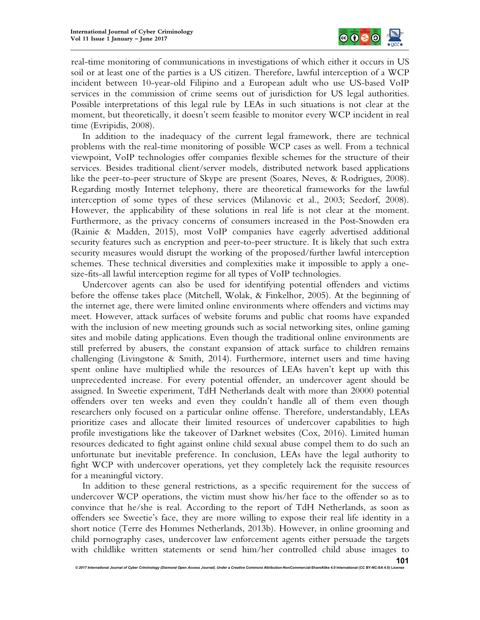

real-time monitoring of communications in investigations of which either it occurs in US soil or at least one of the parties is a US citizen. Therefore, lawful interception of a WCP incident between 10-year-old Filipino and a European adult who use US-based VoIP services in the commission of crime seems out of jurisdiction for US legal authorities. Possible interpretations of this legal rule by LEAs in such situations is not clear at the moment, but theoretically, it doesn't seem feasible to monitor every WCP incident in real time (Evripidis, 2008).

In addition to the inadequacy of the current legal framework, there are technical problems with the real-time monitoring of possible WCP cases as well. From a technical viewpoint, VoIP technologies offer companies flexible schemes for the structure of their services. Besides traditional client/server models, distributed network based applications like the peer-to-peer structure of Skype are present (Soares, Neves, & Rodrigues, 2008). Regarding mostly Internet telephony, there are theoretical frameworks for the lawful interception of some types of these services (Milanovic et al., 2003; Seedorf, 2008). However, the applicability of these solutions in real life is not clear at the moment. Furthermore, as the privacy concerns of consumers increased in the Post-Snowden era (Rainie & Madden, 2015), most VoIP companies have eagerly advertised additional security features such as encryption and peer-to-peer structure. It is likely that such extra security measures would disrupt the working of the proposed/further lawful interception schemes. These technical diversities and complexities make it impossible to apply a onesize-fits-all lawful interception regime for all types of VoIP technologies.

Undercover agents can also be used for identifying potential offenders and victims before the offense takes place (Mitchell, Wolak, & Finkelhor, 2005). At the beginning of the internet age, there were limited online environments where offenders and victims may meet. However, attack surfaces of website forums and public chat rooms have expanded with the inclusion of new meeting grounds such as social networking sites, online gaming sites and mobile dating applications. Even though the traditional online environments are still preferred by abusers, the constant expansion of attack surface to children remains challenging (Livingstone & Smith, 2014). Furthermore, internet users and time having spent online have multiplied while the resources of LEAs haven't kept up with this unprecedented increase. For every potential offender, an undercover agent should be assigned. In Sweetie experiment, TdH Netherlands dealt with more than 20000 potential offenders over ten weeks and even they couldn't handle all of them even though researchers only focused on a particular online offense. Therefore, understandably, LEAs prioritize cases and allocate their limited resources of undercover capabilities to high profile investigations like the takeover of Darknet websites (Cox, 2016). Limited human resources dedicated to fight against online child sexual abuse compel them to do such an unfortunate but inevitable preference. In conclusion, LEAs have the legal authority to fight WCP with undercover operations, yet they completely lack the requisite resources for a meaningful victory.

In addition to these general restrictions, as a specific requirement for the success of undercover WCP operations, the victim must show his/her face to the offender so as to convince that he/she is real. According to the report of TdH Netherlands, as soon as offenders see Sweetie's face, they are more willing to expose their real life identity in a short notice (Terre des Hommes Netherlands, 2013b). However, in online grooming and child pornography cases, undercover law enforcement agents either persuade the targets with childlike written statements or send him/her controlled child abuse images to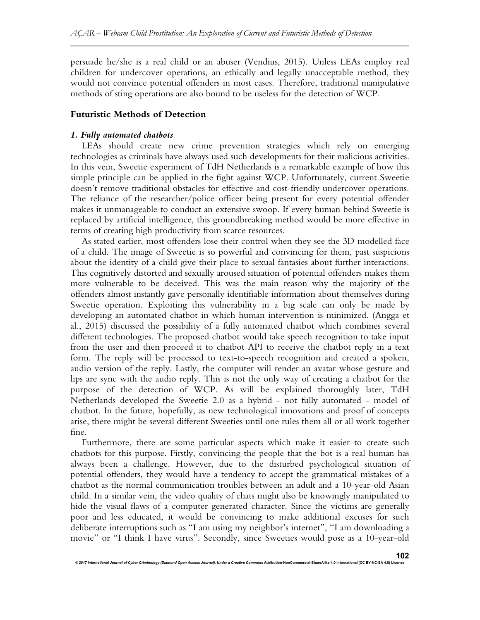persuade he/she is a real child or an abuser (Vendius, 2015). Unless LEAs employ real children for undercover operations, an ethically and legally unacceptable method, they would not convince potential offenders in most cases. Therefore, traditional manipulative methods of sting operations are also bound to be useless for the detection of WCP.

# **Futuristic Methods of Detection**

### *1. Fully automated chatbots*

LEAs should create new crime prevention strategies which rely on emerging technologies as criminals have always used such developments for their malicious activities. In this vein, Sweetie experiment of TdH Netherlands is a remarkable example of how this simple principle can be applied in the fight against WCP. Unfortunately, current Sweetie doesn't remove traditional obstacles for effective and cost-friendly undercover operations. The reliance of the researcher/police officer being present for every potential offender makes it unmanageable to conduct an extensive swoop. If every human behind Sweetie is replaced by artificial intelligence, this groundbreaking method would be more effective in terms of creating high productivity from scarce resources.

As stated earlier, most offenders lose their control when they see the 3D modelled face of a child. The image of Sweetie is so powerful and convincing for them, past suspicions about the identity of a child give their place to sexual fantasies about further interactions. This cognitively distorted and sexually aroused situation of potential offenders makes them more vulnerable to be deceived. This was the main reason why the majority of the offenders almost instantly gave personally identifiable information about themselves during Sweetie operation. Exploiting this vulnerability in a big scale can only be made by developing an automated chatbot in which human intervention is minimized. (Angga et al., 2015) discussed the possibility of a fully automated chatbot which combines several different technologies. The proposed chatbot would take speech recognition to take input from the user and then proceed it to chatbot API to receive the chatbot reply in a text form. The reply will be processed to text-to-speech recognition and created a spoken, audio version of the reply. Lastly, the computer will render an avatar whose gesture and lips are sync with the audio reply. This is not the only way of creating a chatbot for the purpose of the detection of WCP. As will be explained thoroughly later, TdH Netherlands developed the Sweetie 2.0 as a hybrid - not fully automated - model of chatbot. In the future, hopefully, as new technological innovations and proof of concepts arise, there might be several different Sweeties until one rules them all or all work together fine.

Furthermore, there are some particular aspects which make it easier to create such chatbots for this purpose. Firstly, convincing the people that the bot is a real human has always been a challenge. However, due to the disturbed psychological situation of potential offenders, they would have a tendency to accept the grammatical mistakes of a chatbot as the normal communication troubles between an adult and a 10-year-old Asian child. In a similar vein, the video quality of chats might also be knowingly manipulated to hide the visual flaws of a computer-generated character. Since the victims are generally poor and less educated, it would be convincing to make additional excuses for such deliberate interruptions such as "I am using my neighbor's internet", "I am downloading a movie" or "I think I have virus". Secondly, since Sweeties would pose as a 10-year-old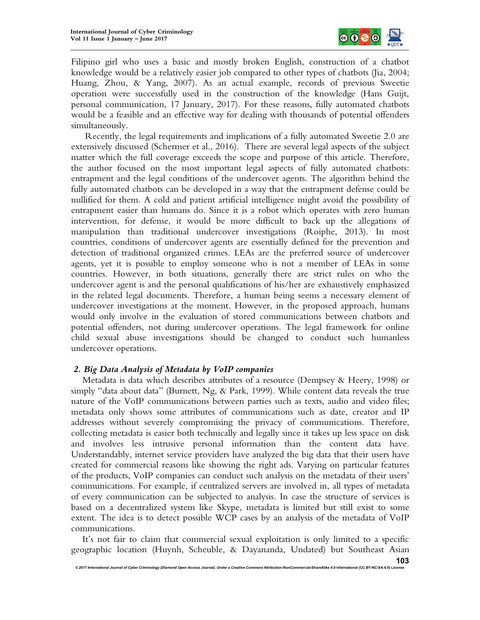

Filipino girl who uses a basic and mostly broken English, construction of a chatbot knowledge would be a relatively easier job compared to other types of chatbots (Jia, 2004; Huang, Zhou, & Yang, 2007). As an actual example, records of previous Sweetie operation were successfully used in the construction of the knowledge (Hans Guijt, personal communication, 17 January, 2017). For these reasons, fully automated chatbots would be a feasible and an effective way for dealing with thousands of potential offenders simultaneously.

Recently, the legal requirements and implications of a fully automated Sweetie 2.0 are extensively discussed (Schermer et al., 2016). There are several legal aspects of the subject matter which the full coverage exceeds the scope and purpose of this article. Therefore, the author focused on the most important legal aspects of fully automated chatbots: entrapment and the legal conditions of the undercover agents. The algorithm behind the fully automated chatbots can be developed in a way that the entrapment defense could be nullified for them. A cold and patient artificial intelligence might avoid the possibility of entrapment easier than humans do. Since it is a robot which operates with zero human intervention, for defense, it would be more difficult to back up the allegations of manipulation than traditional undercover investigations (Roiphe, 2013). In most countries, conditions of undercover agents are essentially defined for the prevention and detection of traditional organized crimes. LEAs are the preferred source of undercover agents, yet it is possible to employ someone who is not a member of LEAs in some countries. However, in both situations, generally there are strict rules on who the undercover agent is and the personal qualifications of his/her are exhaustively emphasized in the related legal documents. Therefore, a human being seems a necessary element of undercover investigations at the moment. However, in the proposed approach, humans would only involve in the evaluation of stored communications between chatbots and potential offenders, not during undercover operations. The legal framework for online child sexual abuse investigations should be changed to conduct such humanless undercover operations.

#### *2. Big Data Analysis of Metadata by VoIP companies*

Metadata is data which describes attributes of a resource (Dempsey & Heery, 1998) or simply "data about data" (Burnett, Ng, & Park, 1999). While content data reveals the true nature of the VoIP communications between parties such as texts, audio and video files; metadata only shows some attributes of communications such as date, creator and IP addresses without severely compromising the privacy of communications. Therefore, collecting metadata is easier both technically and legally since it takes up less space on disk and involves less intrusive personal information than the content data have. Understandably, internet service providers have analyzed the big data that their users have created for commercial reasons like showing the right ads. Varying on particular features of the products, VoIP companies can conduct such analysis on the metadata of their users' communications. For example, if centralized servers are involved in, all types of metadata of every communication can be subjected to analysis. In case the structure of services is based on a decentralized system like Skype, metadata is limited but still exist to some extent. The idea is to detect possible WCP cases by an analysis of the metadata of VoIP communications.

It's not fair to claim that commercial sexual exploitation is only limited to a specific geographic location (Huynh, Scheuble, & Dayananda, Undated) but Southeast Asian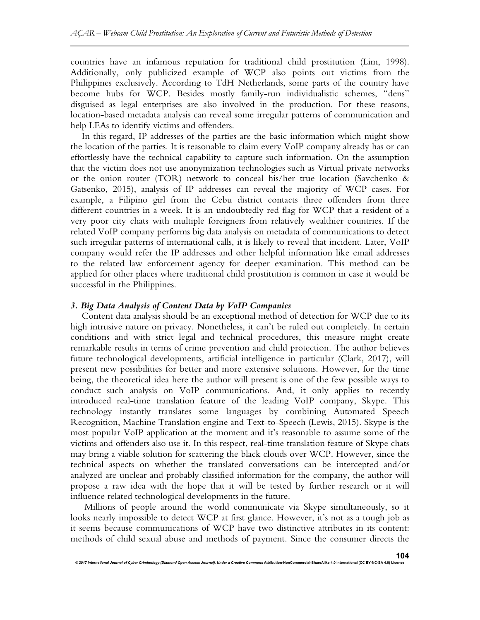countries have an infamous reputation for traditional child prostitution (Lim, 1998). Additionally, only publicized example of WCP also points out victims from the Philippines exclusively. According to TdH Netherlands, some parts of the country have become hubs for WCP. Besides mostly family-run individualistic schemes, "dens" disguised as legal enterprises are also involved in the production. For these reasons, location-based metadata analysis can reveal some irregular patterns of communication and help LEAs to identify victims and offenders.

In this regard, IP addresses of the parties are the basic information which might show the location of the parties. It is reasonable to claim every VoIP company already has or can effortlessly have the technical capability to capture such information. On the assumption that the victim does not use anonymization technologies such as Virtual private networks or the onion router (TOR) network to conceal his/her true location (Savchenko & Gatsenko, 2015), analysis of IP addresses can reveal the majority of WCP cases. For example, a Filipino girl from the Cebu district contacts three offenders from three different countries in a week. It is an undoubtedly red flag for WCP that a resident of a very poor city chats with multiple foreigners from relatively wealthier countries. If the related VoIP company performs big data analysis on metadata of communications to detect such irregular patterns of international calls, it is likely to reveal that incident. Later, VoIP company would refer the IP addresses and other helpful information like email addresses to the related law enforcement agency for deeper examination. This method can be applied for other places where traditional child prostitution is common in case it would be successful in the Philippines.

#### *3. Big Data Analysis of Content Data by VoIP Companies*

*© 2017 International Journal of Cyber Criminology (Diamond Open Access Journal). Under a Creative Commons* **Attribution-NonCommercial-ShareAlike 4.0 International (CC BY-NC-SA 4.0) License**

Content data analysis should be an exceptional method of detection for WCP due to its high intrusive nature on privacy. Nonetheless, it can't be ruled out completely. In certain conditions and with strict legal and technical procedures, this measure might create remarkable results in terms of crime prevention and child protection. The author believes future technological developments, artificial intelligence in particular (Clark, 2017), will present new possibilities for better and more extensive solutions. However, for the time being, the theoretical idea here the author will present is one of the few possible ways to conduct such analysis on VoIP communications. And, it only applies to recently introduced real-time translation feature of the leading VoIP company, Skype. This technology instantly translates some languages by combining Automated Speech Recognition, Machine Translation engine and Text-to-Speech (Lewis, 2015). Skype is the most popular VoIP application at the moment and it's reasonable to assume some of the victims and offenders also use it. In this respect, real-time translation feature of Skype chats may bring a viable solution for scattering the black clouds over WCP. However, since the technical aspects on whether the translated conversations can be intercepted and/or analyzed are unclear and probably classified information for the company, the author will propose a raw idea with the hope that it will be tested by further research or it will influence related technological developments in the future.

Millions of people around the world communicate via Skype simultaneously, so it looks nearly impossible to detect WCP at first glance. However, it's not as a tough job as it seems because communications of WCP have two distinctive attributes in its content: methods of child sexual abuse and methods of payment. Since the consumer directs the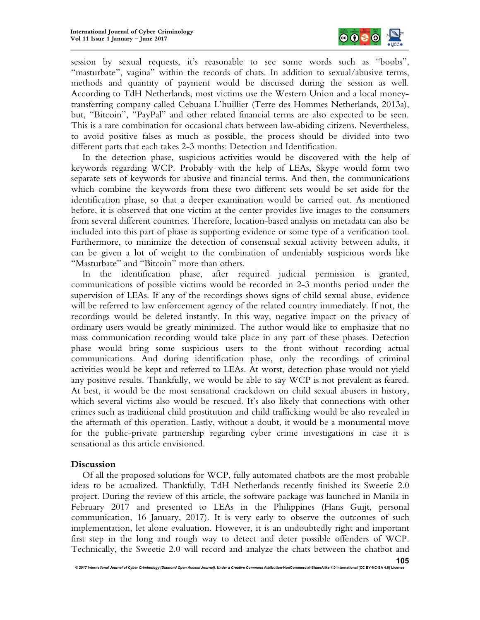

session by sexual requests, it's reasonable to see some words such as "boobs", "masturbate", vagina" within the records of chats. In addition to sexual/abusive terms, methods and quantity of payment would be discussed during the session as well. According to TdH Netherlands, most victims use the Western Union and a local moneytransferring company called Cebuana L'huillier (Terre des Hommes Netherlands, 2013a), but, "Bitcoin", "PayPal" and other related financial terms are also expected to be seen. This is a rare combination for occasional chats between law-abiding citizens. Nevertheless, to avoid positive falses as much as possible, the process should be divided into two different parts that each takes 2-3 months: Detection and Identification.

In the detection phase, suspicious activities would be discovered with the help of keywords regarding WCP. Probably with the help of LEAs, Skype would form two separate sets of keywords for abusive and financial terms. And then, the communications which combine the keywords from these two different sets would be set aside for the identification phase, so that a deeper examination would be carried out. As mentioned before, it is observed that one victim at the center provides live images to the consumers from several different countries. Therefore, location-based analysis on metadata can also be included into this part of phase as supporting evidence or some type of a verification tool. Furthermore, to minimize the detection of consensual sexual activity between adults, it can be given a lot of weight to the combination of undeniably suspicious words like "Masturbate" and "Bitcoin" more than others.

In the identification phase, after required judicial permission is granted, communications of possible victims would be recorded in 2-3 months period under the supervision of LEAs. If any of the recordings shows signs of child sexual abuse, evidence will be referred to law enforcement agency of the related country immediately. If not, the recordings would be deleted instantly. In this way, negative impact on the privacy of ordinary users would be greatly minimized. The author would like to emphasize that no mass communication recording would take place in any part of these phases. Detection phase would bring some suspicious users to the front without recording actual communications. And during identification phase, only the recordings of criminal activities would be kept and referred to LEAs. At worst, detection phase would not yield any positive results. Thankfully, we would be able to say WCP is not prevalent as feared. At best, it would be the most sensational crackdown on child sexual abusers in history, which several victims also would be rescued. It's also likely that connections with other crimes such as traditional child prostitution and child trafficking would be also revealed in the aftermath of this operation. Lastly, without a doubt, it would be a monumental move for the public-private partnership regarding cyber crime investigations in case it is sensational as this article envisioned.

# **Discussion**

Of all the proposed solutions for WCP, fully automated chatbots are the most probable ideas to be actualized. Thankfully, TdH Netherlands recently finished its Sweetie 2.0 project. During the review of this article, the software package was launched in Manila in February 2017 and presented to LEAs in the Philippines (Hans Guijt, personal communication, 16 January, 2017). It is very early to observe the outcomes of such implementation, let alone evaluation. However, it is an undoubtedly right and important first step in the long and rough way to detect and deter possible offenders of WCP. Technically, the Sweetie 2.0 will record and analyze the chats between the chatbot and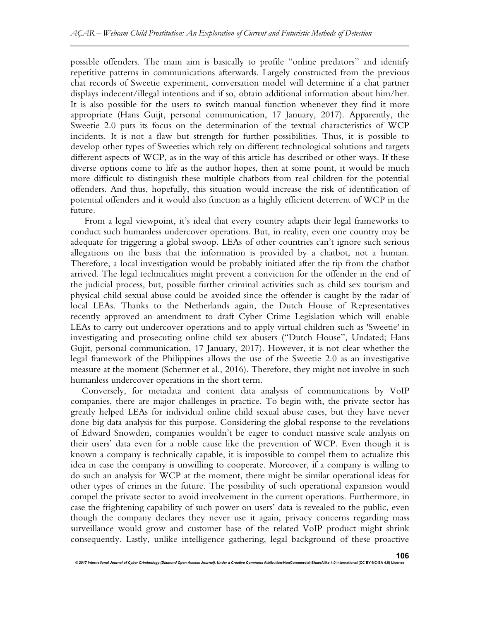possible offenders. The main aim is basically to profile "online predators" and identify repetitive patterns in communications afterwards. Largely constructed from the previous chat records of Sweetie experiment, conversation model will determine if a chat partner displays indecent/illegal intentions and if so, obtain additional information about him/her. It is also possible for the users to switch manual function whenever they find it more appropriate (Hans Guijt, personal communication, 17 January, 2017). Apparently, the Sweetie 2.0 puts its focus on the determination of the textual characteristics of WCP incidents. It is not a flaw but strength for further possibilities. Thus, it is possible to develop other types of Sweeties which rely on different technological solutions and targets different aspects of WCP, as in the way of this article has described or other ways. If these diverse options come to life as the author hopes, then at some point, it would be much more difficult to distinguish these multiple chatbots from real children for the potential offenders. And thus, hopefully, this situation would increase the risk of identification of potential offenders and it would also function as a highly efficient deterrent of WCP in the future.

 From a legal viewpoint, it's ideal that every country adapts their legal frameworks to conduct such humanless undercover operations. But, in reality, even one country may be adequate for triggering a global swoop. LEAs of other countries can't ignore such serious allegations on the basis that the information is provided by a chatbot, not a human. Therefore, a local investigation would be probably initiated after the tip from the chatbot arrived. The legal technicalities might prevent a conviction for the offender in the end of the judicial process, but, possible further criminal activities such as child sex tourism and physical child sexual abuse could be avoided since the offender is caught by the radar of local LEAs. Thanks to the Netherlands again, the Dutch House of Representatives recently approved an amendment to draft Cyber Crime Legislation which will enable LEAs to carry out undercover operations and to apply virtual children such as 'Sweetie' in investigating and prosecuting online child sex abusers ("Dutch House", Undated; Hans Gujit, personal communication, 17 January, 2017). However, it is not clear whether the legal framework of the Philippines allows the use of the Sweetie 2.0 as an investigative measure at the moment (Schermer et al., 2016). Therefore, they might not involve in such humanless undercover operations in the short term.

Conversely, for metadata and content data analysis of communications by VoIP companies, there are major challenges in practice. To begin with, the private sector has greatly helped LEAs for individual online child sexual abuse cases, but they have never done big data analysis for this purpose. Considering the global response to the revelations of Edward Snowden, companies wouldn't be eager to conduct massive scale analysis on their users' data even for a noble cause like the prevention of WCP. Even though it is known a company is technically capable, it is impossible to compel them to actualize this idea in case the company is unwilling to cooperate. Moreover, if a company is willing to do such an analysis for WCP at the moment, there might be similar operational ideas for other types of crimes in the future. The possibility of such operational expansion would compel the private sector to avoid involvement in the current operations. Furthermore, in case the frightening capability of such power on users' data is revealed to the public, even though the company declares they never use it again, privacy concerns regarding mass surveillance would grow and customer base of the related VoIP product might shrink consequently. Lastly, unlike intelligence gathering, legal background of these proactive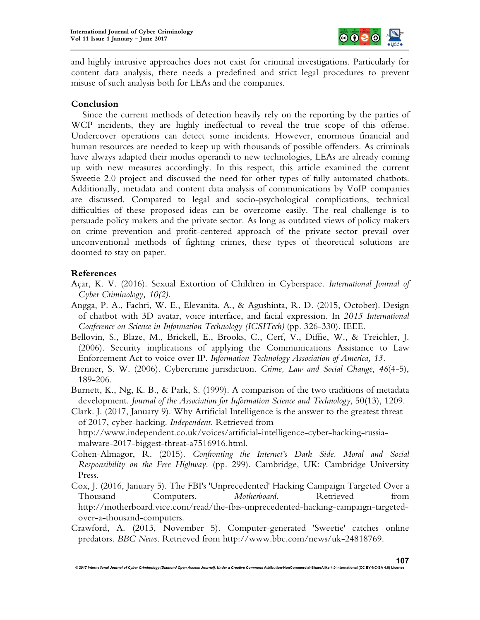

and highly intrusive approaches does not exist for criminal investigations. Particularly for content data analysis, there needs a predefined and strict legal procedures to prevent misuse of such analysis both for LEAs and the companies.

# **Conclusion**

Since the current methods of detection heavily rely on the reporting by the parties of WCP incidents, they are highly ineffectual to reveal the true scope of this offense. Undercover operations can detect some incidents. However, enormous financial and human resources are needed to keep up with thousands of possible offenders. As criminals have always adapted their modus operandi to new technologies, LEAs are already coming up with new measures accordingly. In this respect, this article examined the current Sweetie 2.0 project and discussed the need for other types of fully automated chatbots. Additionally, metadata and content data analysis of communications by VoIP companies are discussed. Compared to legal and socio-psychological complications, technical difficulties of these proposed ideas can be overcome easily. The real challenge is to persuade policy makers and the private sector. As long as outdated views of policy makers on crime prevention and profit-centered approach of the private sector prevail over unconventional methods of fighting crimes, these types of theoretical solutions are doomed to stay on paper.

# **References**

- Açar, K. V. (2016). Sexual Extortion of Children in Cyberspace. *International Journal of Cyber Criminology, 10(2).*
- Angga, P. A., Fachri, W. E., Elevanita, A., & Agushinta, R. D. (2015, October). Design of chatbot with 3D avatar, voice interface, and facial expression. In *2015 International Conference on Science in Information Technology (ICSITech)* (pp. 326-330). IEEE.
- Bellovin, S., Blaze, M., Brickell, E., Brooks, C., Cerf, V., Diffie, W., & Treichler, J. (2006). Security implications of applying the Communications Assistance to Law Enforcement Act to voice over IP. *Information Technology Association of America, 13.*
- Brenner, S. W. (2006). Cybercrime jurisdiction. *Crime, Law and Social Change*, *46*(4-5), 189-206.
- Burnett, K., Ng, K. B., & Park, S. (1999). A comparison of the two traditions of metadata development. *Journal of the Association for Information Science and Technology*, 50(13), 1209.
- Clark. J. (2017, January 9). Why Artificial Intelligence is the answer to the greatest threat of 2017, cyber-hacking. *Independent*. Retrieved from

http://www.independent.co.uk/voices/artificial-intelligence-cyber-hacking-russiamalware-2017-biggest-threat-a7516916.html.

- Cohen-Almagor, R. (2015). *Confronting the Internet's Dark Side. Moral and Social Responsibility on the Free Highway*. (pp. 299). Cambridge, UK: Cambridge University Press.
- Cox, J. (2016, January 5). The FBI's 'Unprecedented' Hacking Campaign Targeted Over a Thousand Computers. *Motherboard*. Retrieved from http://motherboard.vice.com/read/the-fbis-unprecedented-hacking-campaign-targetedover-a-thousand-computers.
- Crawford, A. (2013, November 5). Computer-generated 'Sweetie' catches online predators. *BBC News*. Retrieved from http://www.bbc.com/news/uk-24818769.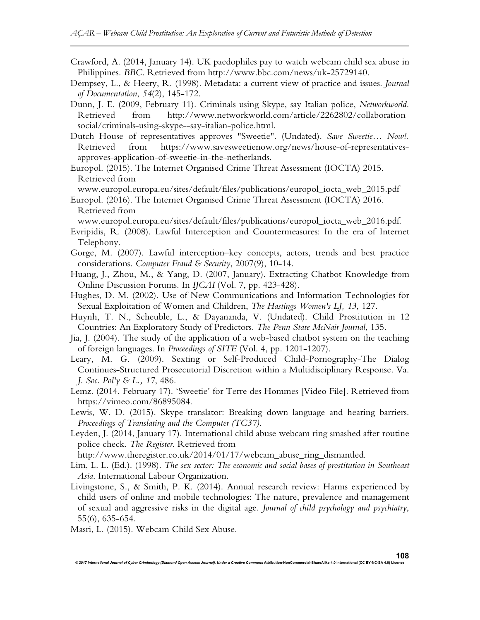- Crawford, A. (2014, January 14). UK paedophiles pay to watch webcam child sex abuse in Philippines. *BBC*. Retrieved from http://www.bbc.com/news/uk-25729140.
- Dempsey, L., & Heery, R. (1998). Metadata: a current view of practice and issues. *Journal of Documentation*, *54*(2), 145-172.
- Dunn, J. E. (2009, February 11). Criminals using Skype, say Italian police, *Networkworld*. Retrieved from http://www.networkworld.com/article/2262802/collaborationsocial/criminals-using-skype--say-italian-police.html.
- Dutch House of representatives approves "Sweetie". (Undated). *Save Sweetie… Now!.*  Retrieved from https://www.savesweetienow.org/news/house-of-representativesapproves-application-of-sweetie-in-the-netherlands.

Europol. (2015). The Internet Organised Crime Threat Assessment (IOCTA) 2015. Retrieved from

www.europol.europa.eu/sites/default/files/publications/europol\_iocta\_web\_2015.pdf

Europol. (2016). The Internet Organised Crime Threat Assessment (IOCTA) 2016. Retrieved from

www.europol.europa.eu/sites/default/files/publications/europol\_iocta\_web\_2016.pdf.

- Evripidis, R. (2008). Lawful Interception and Countermeasures: In the era of Internet Telephony.
- Gorge, M. (2007). Lawful interception–key concepts, actors, trends and best practice considerations. *Computer Fraud & Security*, 2007(9), 10-14.
- Huang, J., Zhou, M., & Yang, D. (2007, January). Extracting Chatbot Knowledge from Online Discussion Forums. In *IJCAI* (Vol. 7, pp. 423-428).
- Hughes, D. M. (2002). Use of New Communications and Information Technologies for Sexual Exploitation of Women and Children, *The Hastings Women's LJ, 13*, 127.
- Huynh, T. N., Scheuble, L., & Dayananda, V. (Undated). Child Prostitution in 12 Countries: An Exploratory Study of Predictors. *The Penn State McNair Journal*, 135.
- Jia, J. (2004). The study of the application of a web-based chatbot system on the teaching of foreign languages. In *Proceedings of SITE* (Vol. 4, pp. 1201-1207).
- Leary, M. G. (2009). Sexting or Self-Produced Child-Pornography-The Dialog Continues-Structured Prosecutorial Discretion within a Multidisciplinary Response. Va. *J. Soc. Pol'y & L., 17*, 486.
- Lemz. (2014, February 17). 'Sweetie' for Terre des Hommes [Video File]. Retrieved from https://vimeo.com/86895084.
- Lewis, W. D. (2015). Skype translator: Breaking down language and hearing barriers. *Proceedings of Translating and the Computer (TC37)*.
- Leyden, J. (2014, January 17). International child abuse webcam ring smashed after routine police check. *The Register*. Retrieved from

http://www.theregister.co.uk/2014/01/17/webcam\_abuse\_ring\_dismantled.

- Lim, L. L. (Ed.). (1998). *The sex sector: The economic and social bases of prostitution in Southeast Asia*. International Labour Organization.
- Livingstone, S., & Smith, P. K. (2014). Annual research review: Harms experienced by child users of online and mobile technologies: The nature, prevalence and management of sexual and aggressive risks in the digital age. *Journal of child psychology and psychiatry*, 55(6), 635-654.

*© 2017 International Journal of Cyber Criminology (Diamond Open Access Journal). Under a Creative Commons* **Attribution-NonCommercial-ShareAlike 4.0 International (CC BY-NC-SA 4.0) License**

Masri, L. (2015). Webcam Child Sex Abuse.